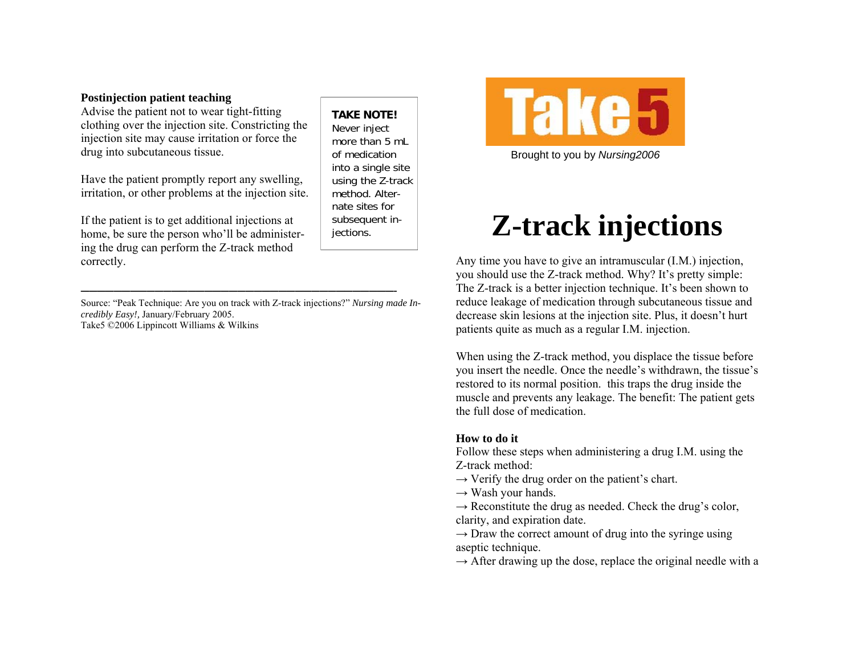## **Postinjection patient teaching**

Advise the patient not to wear tight-fitting clothing over the injection site. Constricting the injection site may cause irritation or force the drug into subcutaneous tissue.

Have the patient promptly report any swelling, irritation, or other problems at the injection site.

If the patient is to get additional injections at home, be sure the person who'll be administering the drug can perform the Z-track method correctly.

Source: "Peak Technique: Are you on track with Z-track injections?" *Nursing made Incredibly Easy!,* January/February 2005. Take5 ©2006 Lippincott Williams & Wilkins

——————————————————————————————————————-

**TAKE NOTE!** Never inject more than 5 mL of medication into a single site using the Z-track method. Alternate sites for subsequent injections.



Brought to you by *Nursing2006* 

## **Z-track injections**

Any time you have to give an intramuscular (I.M.) injection, you should use the Z-track method. Why? It's pretty simple: The Z-track is a better injection technique. It's been shown to reduce leakage of medication through subcutaneous tissue and decrease skin lesions at the injection site. Plus, it doesn't hurt patients quite as much as a regular I.M. injection.

When using the Z-track method, you displace the tissue before you insert the needle. Once the needle's withdrawn, the tissue's restored to its normal position. this traps the drug inside the muscle and prevents any leakage. The benefit: The patient gets the full dose of medication.

## **How to do it**

Follow these steps when administering a drug I.M. using the Z-track method:

- $\rightarrow$  Verify the drug order on the patient's chart.
- $\rightarrow$  Wash your hands.
- $\rightarrow$  Reconstitute the drug as needed. Check the drug's color, clarity, and expiration date.

 $\rightarrow$  Draw the correct amount of drug into the syringe using aseptic technique.

 $\rightarrow$  After drawing up the dose, replace the original needle with a